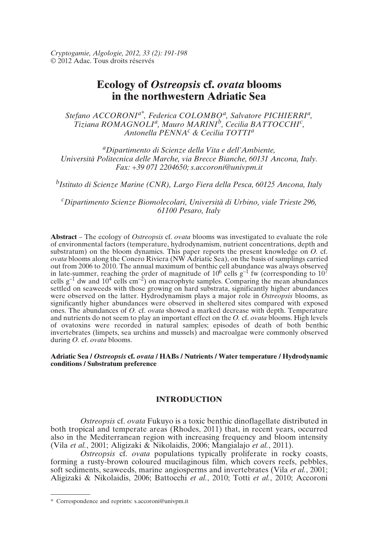# **Ecology of** *Ostreopsis* **cf.** *ovata* **blooms in the northwestern Adriatic Sea**

*Stefano ACCORONIa\*, Federica COLOMBO<sup>a</sup> , Salvatore PICHIERRI<sup>a</sup> , Tiziana ROMAGNOLI<sup>a</sup> , Mauro MARINI<sup>b</sup> , Cecilia BATTOCCHI<sup>c</sup> , Antonella PENNA<sup>c</sup> & Cecilia TOTTI<sup>a</sup>*

*<sup>a</sup>Dipartimento di Scienze della Vita e dell'Ambiente, Università Politecnica delle Marche, via Brecce Bianche, 60131 Ancona, Italy. Fax: +39 071 2204650; s.accoroni@univpm.it*

*b Istituto di Scienze Marine (CNR), Largo Fiera della Pesca, 60125 Ancona, Italy*

*<sup>c</sup>Dipartimento Scienze Biomolecolari, Università di Urbino, viale Trieste 296, 61100 Pesaro, Italy*

**Abstract** – The ecology of *Ostreopsis* cf. *ovata* blooms was investigated to evaluate the role of environmental factors (temperature, hydrodynamism, nutrient concentrations, depth and substratum) on the bloom dynamics. This paper reports the present knowledge on *O.* cf. *ovata* blooms along the Conero Riviera (NW Adriatic Sea), on the basis of samplings carried out from 2006 to 2010. The annual maximum of benthic cell abundance was always observed in late-summer, reaching the order of magnitude of  $10^6$  cells  $g^{-1}$  fw (corresponding to  $10^7$ ) cells  $g^{-1}$  dw and  $10^4$  cells cm<sup>-2</sup>) on macrophyte samples. Comparing the mean abundances settled on seaweeds with those growing on hard substrata, significantly higher abundances were observed on the latter. Hydrodynamism plays a major role in *Ostreopsis* blooms, as significantly higher abundances were observed in sheltered sites compared with exposed ones. The abundances of *O.* cf. *ovata* showed a marked decrease with depth. Temperature and nutrients do not seem to play an important effect on the *O*. cf. *ovata* blooms. High levels of ovatoxins were recorded in natural samples; episodes of death of both benthic invertebrates (limpets, sea urchins and mussels) and macroalgae were commonly observed during *O.* cf. *ovata* blooms.

### **Adriatic Sea /** *Ostreopsis* **cf.** *ovata* **/ HABs / Nutrients / Water temperature / Hydrodynamic conditions / Substratum preference**

# **INTRODUCTION**

*Ostreopsis* cf. *ovata* Fukuyo is a toxic benthic dinoflagellate distributed in both tropical and temperate areas (Rhodes, 2011) that, in recent years, occurred also in the Mediterranean region with increasing frequency and bloom intensity (Vila *et al.*, 2001; Aligizaki & Nikolaidis, 2006; Mangialajo *et al.*, 2011).

*Ostreopsis* cf. *ovata* populations typically proliferate in rocky coasts, forming a rusty-brown coloured mucilaginous film, which covers reefs, pebbles, soft sediments, seaweeds, marine angiosperms and invertebrates (Vila *et al.*, 2001; Aligizaki & Nikolaidis, 2006; Battocchi *et al.*, 2010; Totti *et al.*, 2010; Accoroni

<sup>\*</sup> Correspondence and reprints: s.accoroni@univpm.it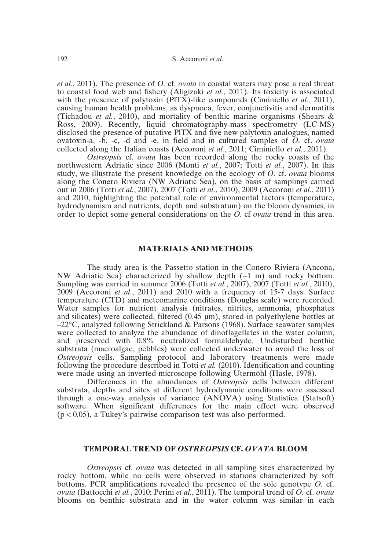*et al.*, 2011). The presence of *O.* cf. *ovata* in coastal waters may pose a real threat to coastal food web and fishery (Aligizaki *et al.*, 2011). Its toxicity is associated with the presence of palytoxin (PITX)-like compounds (Ciminiello *et al.*, 2011), causing human health problems, as dyspnoea, fever, conjunctivitis and dermatitis (Tichadou *et al.*, 2010), and mortality of benthic marine organisms (Shears & Ross, 2009). Recently, liquid chromatography-mass spectrometry (LC-MS) disclosed the presence of putative PlTX and five new palytoxin analogues, named ovatoxin-a, -b, -c, -d and -e, in field and in cultured samples of *O.* cf. *ovata* collected along the Italian coasts (Accoroni *et al.*, 2011; Ciminiello *et al.*, 2011).

*Ostreopsis* cf. *ovata* has been recorded along the rocky coasts of the northwestern Adriatic since 2006 (Monti *et al.*, 2007; Totti *et al.*, 2007). In this study, we illustrate the present knowledge on the ecology of *O.* cf. *ovata* blooms along the Conero Riviera (NW Adriatic Sea), on the basis of samplings carried out in 2006 (Totti *et al.*, 2007), 2007 (Totti *et al.*, 2010), 2009 (Accoroni *et al.*, 2011) and 2010, highlighting the potential role of environmental factors (temperature, hydrodynamism and nutrients, depth and substratum) on the bloom dynamics, in order to depict some general considerations on the *O.* cf *ovata* trend in this area.

# **MATERIALS AND METHODS**

The study area is the Passetto station in the Conero Riviera (Ancona, NW Adriatic Sea) characterized by shallow depth  $(\sim 1 \text{ m})$  and rocky bottom. Sampling was carried in summer 2006 (Totti *et al.*, 2007), 2007 (Totti *et al.*, 2010), 2009 (Accoroni *et al.*, 2011) and 2010 with a frequency of 15-7 days. Surface temperature (CTD) and meteomarine conditions (Douglas scale) were recorded. Water samples for nutrient analysis (nitrates, nitrites, ammonia, phosphates and silicates) were collected, filtered (0.45 µm), stored in polyethylene bottles at –22°C, analyzed following Strickland & Parsons (1968). Surface seawater samples were collected to analyze the abundance of dinoflagellates in the water column, and preserved with 0.8% neutralized formaldehyde. Undisturbed benthic substrata (macroalgae, pebbles) were collected underwater to avoid the loss of *Ostreopsis* cells. Sampling protocol and laboratory treatments were made following the procedure described in Totti *et al.* (2010). Identification and counting were made using an inverted microscope following Utermöhl (Hasle, 1978).

Differences in the abundances of *Ostreopsis* cells between different substrata, depths and sites at different hydrodynamic conditions were assessed through a one-way analysis of variance (ANOVA) using Statistica (Statsoft) software. When significant differences for the main effect were observed  $(p < 0.05)$ , a Tukey's pairwise comparison test was also performed.

## **TEMPORAL TREND OF** *OSTREOPSIS* **CF.** *OVATA* **BLOOM**

*Ostreopsis* cf. *ovata* was detected in all sampling sites characterized by rocky bottom, while no cells were observed in stations characterized by soft bottoms. PCR amplifications revealed the presence of the sole genotype *O.* cf. *ovata* (Battocchi *et al.*, 2010; Perini *et al.*, 2011). The temporal trend of *O.* cf. *ovata* blooms on benthic substrata and in the water column was similar in each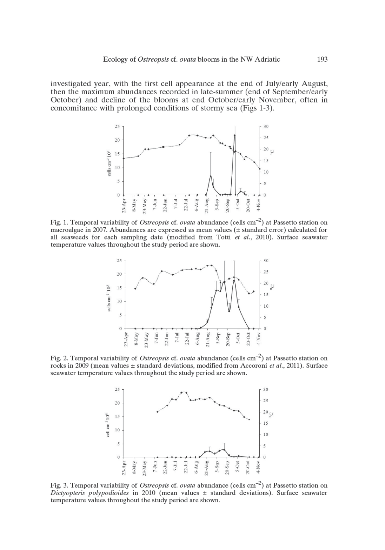investigated year, with the first cell appearance at the end of July/early August, then the maximum abundances recorded in late-summer (end of September/early October) and decline of the blooms at end October/early November, often in concomitance with prolonged conditions of stormy sea (Figs 1-3).



Fig. 1. Temporal variability of Ostreopsis cf. ovata abundance (cells cm<sup>-2</sup>) at Passetto station on macroalgae in 2007. Abundances are expressed as mean values (± standard error) calculated for all seaweeds for each sampling date (modified from Totti et al., 2010). Surface seawater temperature values throughout the study period are shown.



Fig. 2. Temporal variability of *Ostreopsis* cf. *ovata* abundance (cells cm<sup>-2</sup>) at Passetto station on rocks in 2009 (mean values  $\pm$  standard deviations, modified from Accoroni et al., 2011). Surface seawater temperature values throughout the study period are shown.



Fig. 3. Temporal variability of Ostreopsis cf. ovata abundance (cells cm<sup>-2</sup>) at Passetto station on Dictyopteris polypodioides in 2010 (mean values  $\pm$  standard deviations). Surface seawater temperature values throughout the study period are shown.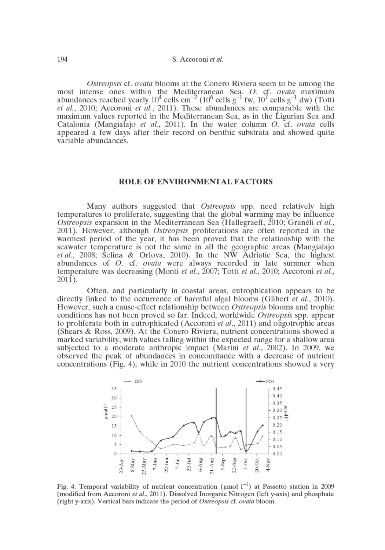Ostreopsis cf. ovata blooms at the Conero Riviera seem to be among the most intense ones within the Mediterranean Sea. O. cf. *ovata* maximum abundances reached yearly  $10^4$  cells cm<sup>-2</sup> ( $10^6$  cells g<sup>-1</sup> fw,  $10^7$  cells g<sup>-1</sup> dw) (Totti et al., 2010; Accoroni et al., 2011). These abundances are comparable with the maximum values reported in the Mediterranean Sea, as in the Ligurian Sea and Catalonia (Mangialajo et al., 2011). In the water column  $O$ , cf. *ovata* cells appeared a few days after their record on benthic substrata and showed quite variable abundances.

#### **ROLE OF ENVIRONMENTAL FACTORS**

Many authors suggested that Ostreopsis spp. need relatively high temperatures to proliferate, suggesting that the global warming may be influence Ostreopsis expansion in the Mediterranean Sea (Hallegraeff, 2010; Granéli et al., 2011). However, although *Ostreopsis* proliferations are often reported in the warmest period of the year, it has been proved that the relationship with the seawater temperature is not the same in all the geographic areas (Mangialajo *et al.*, 2008; Selina & Orlova, 2010). In the NW Adriatic Sea, the highest abundances of O. cf. ovata were always recorded in late summer when temperature was decreasing (Monti et al., 2007; Totti et al., 2010; Accoroni et al.,  $2011$ ).

Often, and particularly in coastal areas, eutrophication appears to be directly linked to the occurrence of harmful algal blooms (Glibert *et al.*, 2010). However, such a cause-effect relationship between Ostreopsis blooms and trophic conditions has not been proved so far. Indeed, worldwide Ostreopsis spp. appear to proliferate both in eutrophicated (Accoroni *et al.*, 2011) and oligotrophic areas (Shears & Ross, 2009). At the Conero Riviera, nutrient concentrations showed a marked variability, with values falling within the expected range for a shallow area subjected to a moderate anthropic impact (Marini et al., 2002). In 2009, we observed the peak of abundances in concomitance with a decrease of nutrient concentrations (Fig. 4), while in 2010 the nutrient concentrations showed a very



Fig. 4. Temporal variability of nutrient concentration ( $\mu$ mol  $1^{-1}$ ) at Passetto station in 2009 (modified from Accoroni et al., 2011). Dissolved Inorganic Nitrogen (left y-axis) and phosphate (right y-axis). Vertical bars indicate the period of Ostreopsis cf. ovata bloom.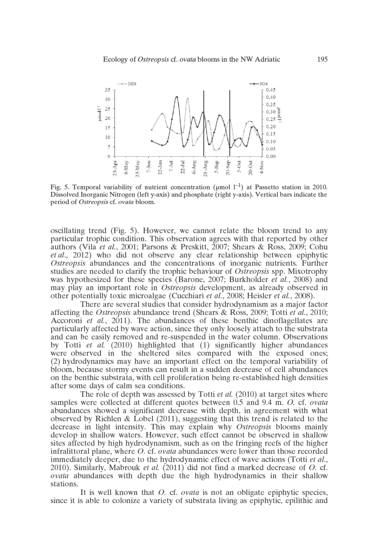

Fig. 5. Temporal variability of nutrient concentration ( $\mu$ mol  $1^{-1}$ ) at Passetto station in 2010. Dissolved Inorganic Nitrogen (left y-axis) and phosphate (right y-axis). Vertical bars indicate the period of Ostreopsis cf. ovata bloom.

oscillating trend (Fig. 5). However, we cannot relate the bloom trend to any particular trophic condition. This observation agrees with that reported by other authors (Vila et al., 2001; Parsons & Preskitt, 2007; Shears & Ross, 2009; Cohu et al., 2012) who did not observe any clear relationship between epiphytic *Ostreopsis* abundances and the concentrations of inorganic nutrients. Further studies are needed to clarify the trophic behaviour of *Ostreopsis* spp. Mixotrophy was hypothesized for these species (Barone, 2007; Burkholder *et al.*, 2008) and may play an important role in *Ostreopsis* development, as already observed in other potentially toxic microalgae (Cucchiari et al., 2008; Heisler et al., 2008).

There are several studies that consider hydrodynamism as a major factor affecting the *Ostreopsis* abundance trend (Shears & Ross, 2009; Totti *et al.*, 2010; Accoroni et al., 2011). The abundances of these benthic dinoflagellates are particularly affected by wave action, since they only loosely attach to the substrata and can be easily removed and re-suspended in the water column. Observations by Totti et al. (2010) highlighted that (1) significantly higher abundances were observed in the sheltered sites compared with the exposed ones; (2) hydrodynamics may have an important effect on the temporal variability of bloom, because stormy events can result in a sudden decrease of cell abundances on the benthic substrata, with cell proliferation being re-established high densities after some days of calm sea conditions.

The role of depth was assessed by Totti et al. (2010) at target sites where samples were collected at different quotes between 0.5 and 9.4 m. O. cf. ovata abundances showed a significant decrease with depth, in agreement with what observed by Richlen & Lobel  $(2011)$ , suggesting that this trend is related to the decrease in light intensity. This may explain why *Ostreopsis* blooms mainly develop in shallow waters. However, such effect cannot be observed in shallow sites affected by high hydrodynamism, such as on the fringing reefs of the higher infralittoral plane, where  $O$ , cf. *ovata* abundances were lower than those recorded immediately deeper, due to the hydrodynamic effect of wave actions (Totti et al., 2010). Similarly, Mabrouk *et al.* (2011) did not find a marked decrease of  $O$ . cf. ovata abundances with depth due the high hydrodynamics in their shallow stations.

It is well known that O. cf. *ovata* is not an obligate epiphytic species, since it is able to colonize a variety of substrata living as epiphytic, epilithic and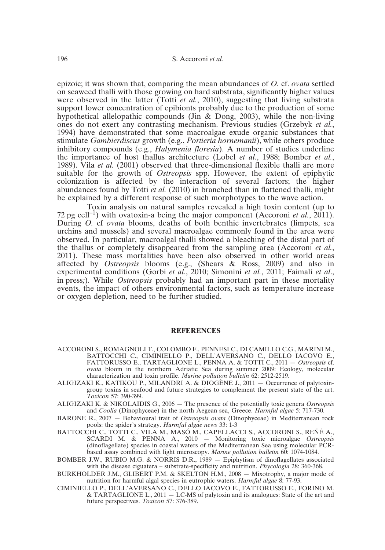epizoic; it was shown that, comparing the mean abundances of *O.* cf. *ovata* settled on seaweed thalli with those growing on hard substrata, significantly higher values were observed in the latter (Totti *et al.*, 2010), suggesting that living substrata support lower concentration of epibionts probably due to the production of some hypothetical allelopathic compounds (Jin & Dong, 2003), while the non-living ones do not exert any contrasting mechanism. Previous studies (Grzebyk *et al.*, 1994) have demonstrated that some macroalgae exude organic substances that stimulate *Gambierdiscus* growth (e.g., *Portieria hornemanii*), while others produce inhibitory compounds (e.g., *Halymenia floresia*). A number of studies underline the importance of host thallus architecture (Lobel *et al.*, 1988; Bomber *et al.*, 1989). Vila *et al.* (2001) observed that three-dimensional flexible thalli are more suitable for the growth of *Ostreopsis* spp. However, the extent of epiphytic colonization is affected by the interaction of several factors; the higher abundances found by Totti *et al.* (2010) in branched than in flattened thalli, might be explained by a different response of such morphotypes to the wave action.

Toxin analysis on natural samples revealed a high toxin content (up to 72 pg cell<sup>-1</sup>) with ovatoxin-a being the major component (Accoroni *et al.*, 2011). During *O.* cf *ovata* blooms, deaths of both benthic invertebrates (limpets, sea urchins and mussels) and several macroalgae commonly found in the area were observed. In particular, macroalgal thalli showed a bleaching of the distal part of the thallus or completely disappeared from the sampling area (Accoroni *et al.*, 2011). These mass mortalities have been also observed in other world areas affected by *Ostreopsis* blooms (e.g., (Shears & Ross, 2009) and also in experimental conditions (Gorbi *et al.*, 2010; Simonini *et al.*, 2011; Faimali *et al*., in press*;*). While *Ostreopsis* probably had an important part in these mortality events, the impact of others environmental factors, such as temperature increase or oxygen depletion, need to be further studied.

#### **REFERENCES**

- ACCORONI S., ROMAGNOLI T., COLOMBO F., PENNESI C., DI CAMILLO C.G., MARINI M., BATTOCCHI C., CIMINIELLO P., DELL'AVERSANO C., DELLO IACOVO E., FATTORUSSO E., TARTAGLIONE L., PENNA A. & TOTTI C., 2011 — *Ostreopsis* cf. *ovata* bloom in the northern Adriatic Sea during summer 2009: Ecology, molecular characterization and toxin profile. *Marine pollution bulletin* 62: 2512-2519.
- ALIGIZAKI K., KATIKOU P., MILANDRI A. & DIOGÈNE J., 2011 Occurrence of palytoxingroup toxins in seafood and future strategies to complement the present state of the art. *Toxicon* 57: 390-399.
- ALIGIZAKI K. & NIKOLAIDIS G., 2006 The presence of the potentially toxic genera *Ostreopsis* and *Coolia* (Dinophyceae) in the north Aegean sea, Greece. *Harmful algae* 5: 717-730.
- BARONE R., 2007 Behavioural trait of *Ostreopsis ovata* (Dinophyceae) in Mediterranean rock pools: the spider's strategy. *Harmful algae news* 33: 1-3
- BATTOCCHI C., TOTTI C., VILA M., MASÓ M., CAPELLACCI S., ACCORONI S., REÑÉ A., SCARDI M. & PENNA A., 2010 — Monitoring toxic microalgae *Ostreopsis* (dinoflagellate) species in coastal waters of the Mediterranean Sea using molecular PCRbased assay combined with light microscopy. *Marine pollution bulletin* 60: 1074-1084.
- BOMBER J.W., RUBIO M.G. & NORRIS D.R., 1989 Epiphytism of dinoflagellates associated with the disease ciguatera – substrate-specificity and nutrition. *Phycologia* 28: 360-368.
- BURKHOLDER J.M., GLIBERT P.M. & SKELTON H.M., 2008 Mixotrophy, a major mode of nutrition for harmful algal species in eutrophic waters. *Harmful algae* 8: 77-93.
- CIMINIELLO P., DELL'AVERSANO C., DELLO IACOVO E., FATTORUSSO E., FORINO M. & TARTAGLIONE L., 2011 — LC-MS of palytoxin and its analogues: State of the art and future perspectives. *Toxicon* 57: 376-389.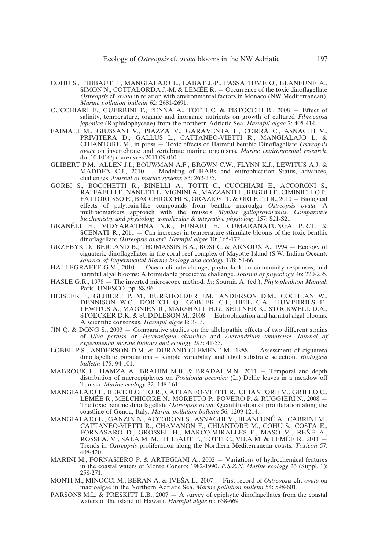- COHU S., THIBAUT T., MANGIALAJO L., LABAT J.-P., PASSAFIUME O., BLANFUNÉ A., SIMON N., COTTALORDA J.-M. & LEMÉE R. — Occurrence of the toxic dinoflagellate *Ostreopsis* cf. *ovata* in relation with environmental factors in Monaco (NW Mediterranean). *Marine pollution bulletin* 62: 2681-2691.
- CUCCHIARI E., GUERRINI F., PENNA A., TOTTI C. & PISTOCCHI R., 2008 Effect of salinity, temperature, organic and inorganic nutrients on growth of cultured *Fibrocapsa japonica* (Raphidophyceae) from the northern Adriatic Sea. *Harmful algae* 7: 405-414.
- FAIMALI M., GIUSSANI V., PIAZZA V., GARAVENTA F., CORRÀ C., ASNAGHI V., PRIVITERA D., GALLUS L., CATTANEO-VIETTI R., MANGIALAJO L. & CHIANTORE M., in press — Toxic effects of Harmful benthic Dinoflagellate *Ostreopsis ovata* on invertebrate and vertebrate marine organisms. *Marine environmental research*. doi:10.1016/j.marenvres.2011.09.010.
- GLIBERT P.M., ALLEN J.I., BOUWMAN A.F., BROWN C.W., FLYNN K.J., LEWITUS A.J. & MADDEN C.J., 2010 — Modeling of HABs and eutrophication Status, advances, challenges. *Journal of marine systems* 83: 262-275.
- GORBI S., BOCCHETTI R., BINELLI A., TOTTI C., CUCCHIARI E., ACCORONI S., RAFFAELLI F., NANETTI L., VIGNINI A., MAZZANTI L., REGOLI F., CIMINIELLO P., FATTORUSSO E., BACCHIOCCHI S., GRAZIOSI T. & ORLETTI R., 2010 — Biological effects of palytoxin-like compounds from benthic microalga *Ostreopsis ovata*: A multibiomarkers approach with the mussels *Mytilus galloprovincialis*. *Comparative biochemistry and physiology a-molecular & integrative physiology* 157: S21-S21.
- GRANÉLI E., VIDYARATHNA N.K., FUNARI E., CUMARANATUNGA P.R.T. & SCENATI R., 2011 — Can increases in temperature stimulate blooms of the toxic benthic dinoflagellate *Ostreopsis ovata*? *Harmful algae* 10: 165-172.
- GRZEBYK D., BERLAND B., THOMASSIN B.A., BOSI C. & ARNOUX A., 1994 Ecology of ciguateric dinoflagellates in the coral reef complex of Mayotte Island (S.W. Indian Ocean). *Journal of Experimental Marine biology and ecology* 178: 51-66.
- HALLEGRAEFF G.M., 2010 Ocean climate change, phytoplankton community responses, and harmful algal blooms: A formidable predictive challenge. *Journal of phycology* 46: 220-235.
- HASLE G.R., 1978 The inverted microscope method. *In*: Sournia A. (ed.), *Phytoplankton Manual*. Paris, UNESCO, pp. 88-96.
- HEISLER J., GLIBERT P. M., BURKHOLDER J.M., ANDERSON D.M., COCHLAN W., DENNISON W.C., DORTCH Q., GOBLER C.J., HEIL C.A., HUMPHRIES E., LEWITUS A., MAGNIEN R., MARSHALL H.G., SELLNER K., STOCKWELL D.A., STOECKER D.K. & SUDDLESON M., 2008 — Eutrophication and harmful algal blooms: A scientific consensus. *Harmful algae* 8: 3-13.
- JIN Q. & DONG S., 2003 Comparative studies on the allelopathic effects of two different strains of *Ulva pertusa* on *Heterosigma akashiwo* and *Alexandrium tamarense*. *Journal of experimental marine biology and ecology* 293: 41-55.
- LOBEL P.S., ANDERSON D.M. & DURAND-CLEMENT M., 1988 Assessment of ciguatera dinoflagellate populations – sample variability and algal substrate selection. *Biological bulletin* 175: 94-101.
- MABROUK L., HAMZA A., BRAHIM M.B. & BRADAI M.N., 2011 Temporal and depth distribution of microepiphytes on *Posidonia oceanica* (L.) Delile leaves in a meadow off Tunisia. *Marine ecology* 32: 148-161.
- MANGIALAJO L., BERTOLOTTO R., CATTANEO-VIETTI R., CHIANTORE M., GRILLO C., LEMÉE R., MELCHIORRE N., MORETTO P., POVERO P. & RUGGIERI N., 2008 — The toxic benthic dinoflagellate *Ostreopsis ovata*: Quantification of proliferation along the coastline of Genoa, Italy. *Marine pollution bulletin* 56: 1209-1214.
- MANGIALAJO L., GANZIN N., ACCORONI S., ASNAGHI V., BLANFUNÉ A., CABRINI M., CATTANEO-VIETTI R., CHAVANON F., CHIANTORE M., COHU S., COSTA E., FORNASARO D., GROSSEL H., MARCO-MIRALLES F., MASÓ M., REÑÉ A., ROSSI A. M., SALA M. M., THIBAUT T., TOTTI C., VILA M. & LEMÉE R., 2011 — Trends in *Ostreopsis* proliferation along the Northern Mediterranean coasts. *Toxicon* 57: 408-420.
- MARINI M., FORNASIERO P. & ARTEGIANI A., 2002 Variations of hydrochemical features in the coastal waters of Monte Conero: 1982-1990. *P.S.Z.N. Marine ecology* 23 (Suppl. 1): 258-271.
- MONTI M., MINOCCI M., BERAN A. & IVE≤A L., 2007 First record of *Ostreopsis* cfr. *ovata* on macroalgae in the Northern Adriatic Sea. *Marine pollution bulletin* 54: 598-601.
- PARSONS M.L. & PRESKITT L.B.,  $2007 A$  survey of epiphytic dinoflagellates from the coastal waters of the island of Hawai'i. *Harmful algae* 6:658-669.